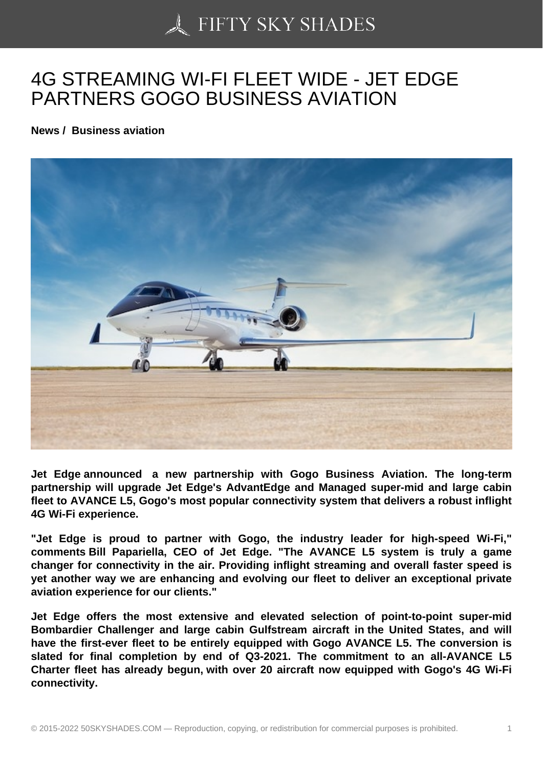## [4G STREAMING WI-F](https://50skyshades.com)I FLEET WIDE - JET EDGE PARTNERS GOGO BUSINESS AVIATION

News / Business aviation

Jet Edge announced a new partnership with Gogo Business Aviation. The long-term partnership will upgrade Jet Edge's AdvantEdge and Managed super-mid and large cabin fleet to AVANCE L5, Gogo's most popular connectivity system that delivers a robust inflight 4G Wi-Fi experience.

"Jet Edge is proud to partner with Gogo, the industry leader for high-speed Wi-Fi," comments Bill Papariella, CEO of Jet Edge. "The AVANCE L5 system is truly a game changer for connectivity in the air. Providing inflight streaming and overall faster speed is yet another way we are enhancing and evolving our fleet to deliver an exceptional private aviation experience for our clients."

Jet Edge offers the most extensive and elevated selection of point-to-point super-mid Bombardier Challenger and large cabin Gulfstream aircraft in the United States, and will have the first-ever fleet to be entirely equipped with Gogo AVANCE L5. The conversion is slated for final completion by end of Q3-2021. The commitment to an all-AVANCE L5 Charter fleet has already begun, with over 20 aircraft now equipped with Gogo's 4G Wi-Fi connectivity.